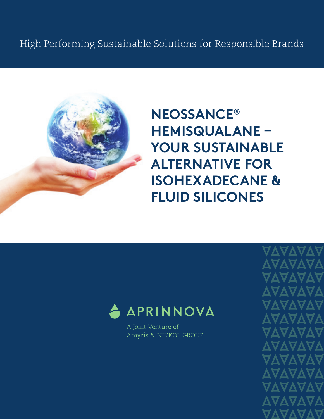

**NEOSSANCE® HEMISQUALANE – YOUR SUSTAINABLE ALTERNATIVE FOR ISOHEXADECANE & FLUID SILICONES**



A Joint Venture of Amyris & NIKKOL GROUP AVAVA **VAVA AAVA AVAV**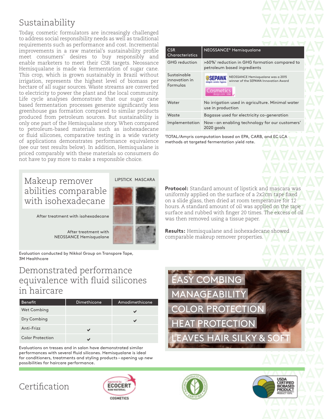# Sustainability

Today, cosmetic formulators are increasingly challenged to address social responsibility needs as well as traditional requirements such as performance and cost. Incremental improvements in a raw material's sustainability profile meet consumers' desires to buy responsibly and enable marketers to meet their CSR targets. Neossance Hemisqualane is made via fermentation of sugar cane. This crop, which is grown sustainably in Brazil without irrigation, represents the highest level of biomass per hectare of all sugar sources. Waste streams are converted to electricity to power the plant and the local community. Life cycle analyses demonstrate that our sugar cane based fermentation processes generate significantly less greenhouse gas formation compared to similar products produced from petroleum sources. But sustainability is only one part of the Hemisqualane story. When compared to petroleum-based materials such as isohexadecane or fluid silicones, comparative testing in a wide variety of applications demonstrates performance equivalence (see our test results below). In addition, Hemisqualane is priced comparably with these materials so consumers do not have to pay more to make a responsible choice.

## Makeup remover abilities comparable with isohexadecane



After treatment with isohexadecane

After treatment with NEOSSANCE Hemisqualane

Evaluation conducted by Nikkol Group on Transpore Tape, 3M Healthcare

### Demonstrated performance equivalence with fluid silicones in haircare

| <b>Benefit</b>          | Dimethicone | Amodimethicone |
|-------------------------|-------------|----------------|
| Wet Combing             |             | v              |
| Dry Combing             |             | м              |
| Anti-Frizz              |             |                |
| <b>Color Protection</b> |             |                |

Evaluations on tresses and in salon have demonstrated similar performances with several fluid silicones. Hemisqualane is ideal for conditioners, treatments and styling products – opening up new possibilities for haircare performance.

| <b>CSR</b><br>Characteristics            | NEOSSANCE <sup>®</sup> Hemisqualane                                                                         |  |  |
|------------------------------------------|-------------------------------------------------------------------------------------------------------------|--|--|
| GHG reduction                            | >60% <sup>1</sup> reduction in GHG formation compared to<br>petroleum based ingredients                     |  |  |
| Sustainable<br>innovation in<br>Formulas | NEOSSANCE Hemisqualane was a 2015<br>winner of the SEPAWA Innovation Award<br>Cosmetics<br>danings com 1954 |  |  |
| Water                                    | No irrigation used in agriculture. Minimal water<br>use in production                                       |  |  |
| Waste                                    | Bagasse used for electricity co-generation                                                                  |  |  |
| Implementation                           | Now-an enabling technology for our customers'<br>2020 goals                                                 |  |  |

1 TOTAL/Amyris computation based on EPA, CARB, and EC LCA methods at targeted fermentation yield rate.

**Protocol:** Standard amount of lipstick and mascara was uniformly applied on the surface of a 2x2cm tape fixed on a slide glass, then dried at room temperature for 12 hours. A standard amount of oil was applied on the tape surface and rubbed with finger 20 times. The excess of oil was then removed using a tissue paper.

**Results:** Hemisqualane and isohexadecane showed comparable makeup remover properties.



# Certification





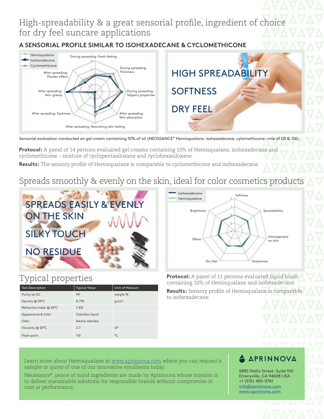## High-spreadability & a great sensorial profile, ingredient of choice for dry feel suncare applications

**A SENSORIAL PROFILE SIMILAR TO ISOHEXADECANE & CYCLOMETHICONE**



Sensorial evaluation conducted on gel cream containing 10% of oil (NEOSSANCE® Hemisqualane, isohexadecane, cylomethicone - mix of D5 & D6)

**Protocol:** A panel of 14 persons evaluated gel creams containing 10% of Hemisqualane, isohexadecane and cyclomethicone – mixture of cyclopentasiloxane and cyclohexasiloxane.

**Results:** The sensory profile of Hemisqualane is comparable to cyclomethicone and isohexadecane.

# Spreads smoothly & evenly on the skin, ideal for color cosmetics products



### **Brightness** Gloss Dry feel Softness Spreadability Homogeneity on skin Greasiness Isohexadecane Hemisqualane

## Typical properties

| <b>Test Description</b> | <b>Typical Value</b> | <b>Unit of Measure</b> |
|-------------------------|----------------------|------------------------|
| Purity by GC            | 99                   | weight %               |
| Density @ 20°C          | 0.770                | $g/cm^3$               |
| Refractive Index @ 20°C | 1.431                |                        |
| Appearance & Color      | Colorless liquid     |                        |
| Odor                    | Nearly odorless      |                        |
| Viscosity @ 20°C        | 2.7                  | cP                     |
| Flash point             | 110                  | $^{\circ}$ C           |

**Protocol:** A panel of 11 persons evaluated liquid blush containing 10% of Hemisqualane and isohexadecane.

**Results:** Sensory profile of Hemisqualane is comparable to isohexadecane.

Learn more about Hemisqualane at www.aprinnova.com where you can request a sample or quote of one of our innovative emollients today.

Neossance®, peace of mind ingredients are made by Aprinnova whose mission is to deliver sustainable solutions for responsible brands without compromise in cost or performance.

### **A APRINNOVA**

5885 Hollis Street, Suite 100 Emeryville, CA 94608 USA +1 (510) 450-0761 info@aprinnova.com www.aprinnova.com